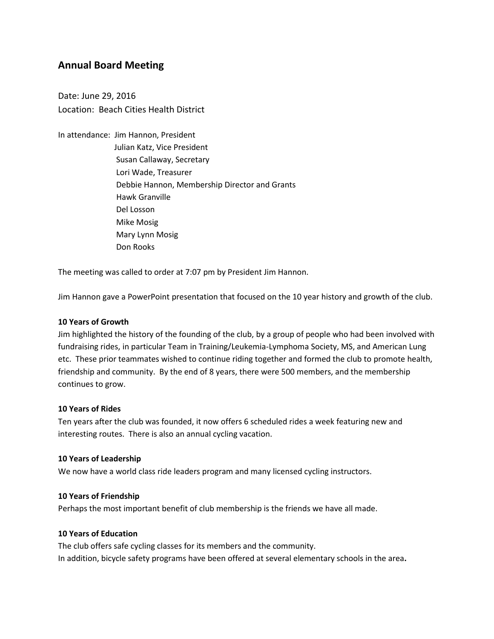# **Annual Board Meeting**

Date: June 29, 2016 Location: Beach Cities Health District

In attendance: Jim Hannon, President Julian Katz, Vice President Susan Callaway, Secretary Lori Wade, Treasurer Debbie Hannon, Membership Director and Grants Hawk Granville Del Losson Mike Mosig Mary Lynn Mosig Don Rooks

The meeting was called to order at 7:07 pm by President Jim Hannon.

Jim Hannon gave a PowerPoint presentation that focused on the 10 year history and growth of the club.

#### **10 Years of Growth**

Jim highlighted the history of the founding of the club, by a group of people who had been involved with fundraising rides, in particular Team in Training/Leukemia-Lymphoma Society, MS, and American Lung etc. These prior teammates wished to continue riding together and formed the club to promote health, friendship and community. By the end of 8 years, there were 500 members, and the membership continues to grow.

#### **10 Years of Rides**

Ten years after the club was founded, it now offers 6 scheduled rides a week featuring new and interesting routes. There is also an annual cycling vacation.

#### **10 Years of Leadership**

We now have a world class ride leaders program and many licensed cycling instructors.

#### **10 Years of Friendship**

Perhaps the most important benefit of club membership is the friends we have all made.

# **10 Years of Education**

The club offers safe cycling classes for its members and the community. In addition, bicycle safety programs have been offered at several elementary schools in the area**.**